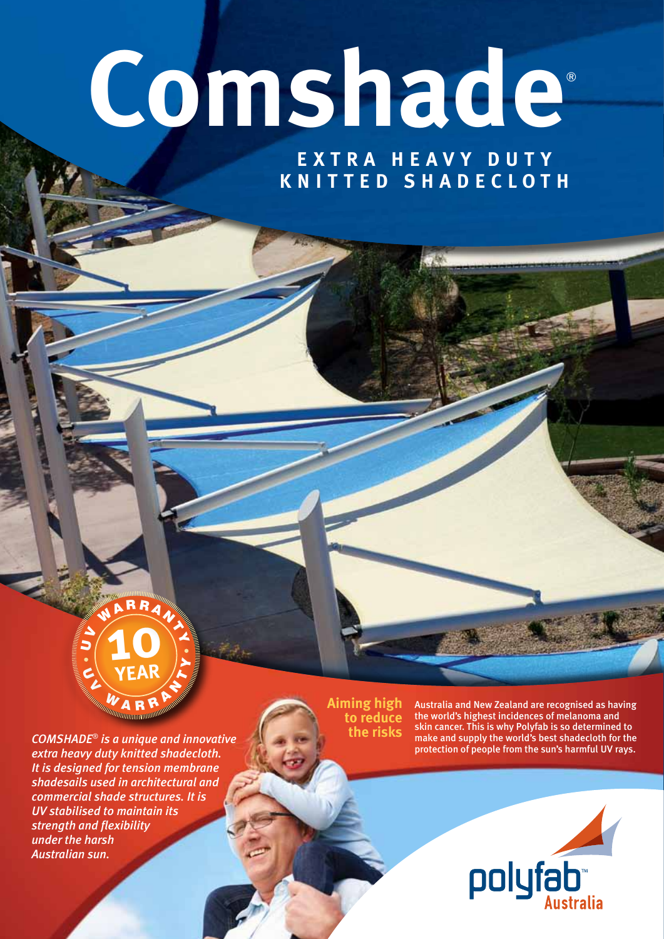# **Comshade**®

**Extra h e a v y d u t y knitt e d shad ec loth**



*COMSHADE*® *is a unique and innovative extra heavy duty knitted shadecloth. It is designed for tension membrane shadesails used in architectural and commercial shade structures. It is UV stabilised to maintain its strength and flexibility under the harsh Australian sun.*

**Aiming high to reduce the risks**

Australia and New Zealand are recognised as having the world's highest incidences of melanoma and skin cancer. This is why Polyfab is so determined to make and supply the world's best shadecloth for the protection of people from the sun's harmful UV rays.